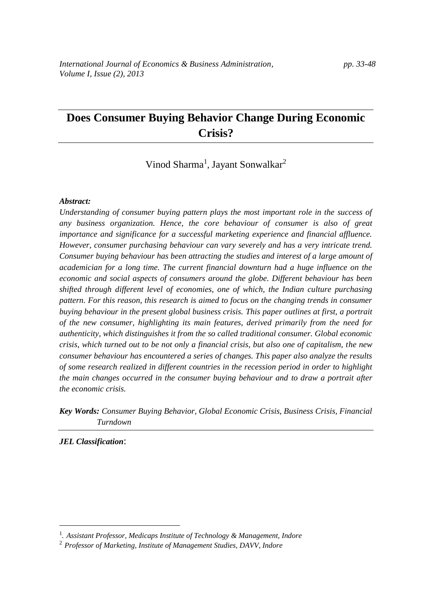# **Does Consumer Buying Behavior Change During Economic Crisis?**

Vinod Sharma<sup>1</sup>, Jayant Sonwalkar<sup>2</sup>

#### *Abstract:*

*Understanding of consumer buying pattern plays the most important role in the success of any business organization. Hence, the core behaviour of consumer is also of great importance and significance for a successful marketing experience and financial affluence. However, consumer purchasing behaviour can vary severely and has a very intricate trend. Consumer buying behaviour has been attracting the studies and interest of a large amount of academician for a long time. The current financial downturn had a huge influence on the economic and social aspects of consumers around the globe. Different behaviour has been shifted through different level of economies, one of which, the Indian culture purchasing pattern. For this reason, this research is aimed to focus on the changing trends in consumer buying behaviour in the present global business crisis. This paper outlines at first, a portrait of the new consumer, highlighting its main features, derived primarily from the need for authenticity, which distinguishes it from the so called traditional consumer. Global economic crisis, which turned out to be not only a financial crisis, but also one of capitalism, the new consumer behaviour has encountered a series of changes. This paper also analyze the results of some research realized in different countries in the recession period in order to highlight the main changes occurred in the consumer buying behaviour and to draw a portrait after the economic crisis.*

*Key Words: Consumer Buying Behavior, Global Economic Crisis, Business Crisis, Financial Turndown* 

*JEL Classification*:

 $\overline{a}$ 

<sup>&</sup>lt;sup>1</sup>. Assistant Professor, Medicaps Institute of Technology & Management, Indore

<sup>2</sup> *Professor of Marketing, Institute of Management Studies, DAVV, Indore*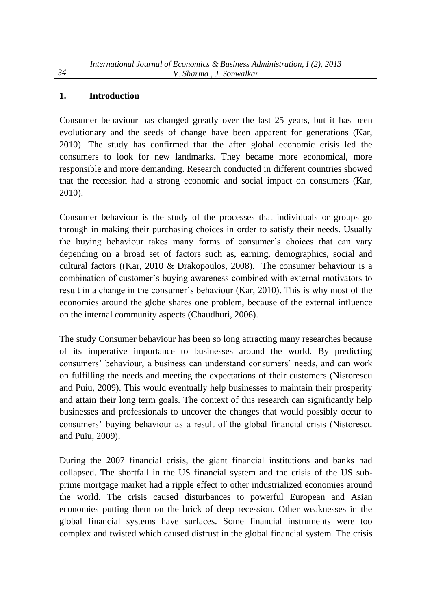#### **1. Introduction**

Consumer behaviour has changed greatly over the last 25 years, but it has been evolutionary and the seeds of change have been apparent for generations (Kar, 2010). The study has confirmed that the after global economic crisis led the consumers to look for new landmarks. They became more economical, more responsible and more demanding. Research conducted in different countries showed that the recession had a strong economic and social impact on consumers (Kar, 2010).

Consumer behaviour is the study of the processes that individuals or groups go through in making their purchasing choices in order to satisfy their needs. Usually the buying behaviour takes many forms of consumer's choices that can vary depending on a broad set of factors such as, earning, demographics, social and cultural factors ((Kar, 2010 & Drakopoulos, 2008). The consumer behaviour is a combination of customer's buying awareness combined with external motivators to result in a change in the consumer's behaviour (Kar, 2010). This is why most of the economies around the globe shares one problem, because of the external influence on the internal community aspects (Chaudhuri, 2006).

The study Consumer behaviour has been so long attracting many researches because of its imperative importance to businesses around the world. By predicting consumers' behaviour, a business can understand consumers' needs, and can work on fulfilling the needs and meeting the expectations of their customers (Nistorescu and Puiu, 2009). This would eventually help businesses to maintain their prosperity and attain their long term goals. The context of this research can significantly help businesses and professionals to uncover the changes that would possibly occur to consumers' buying behaviour as a result of the global financial crisis (Nistorescu and Puiu, 2009).

During the 2007 financial crisis, the giant financial institutions and banks had collapsed. The shortfall in the US financial system and the crisis of the US subprime mortgage market had a ripple effect to other industrialized economies around the world. The crisis caused disturbances to powerful European and Asian economies putting them on the brick of deep recession. Other weaknesses in the global financial systems have surfaces. Some financial instruments were too complex and twisted which caused distrust in the global financial system. The crisis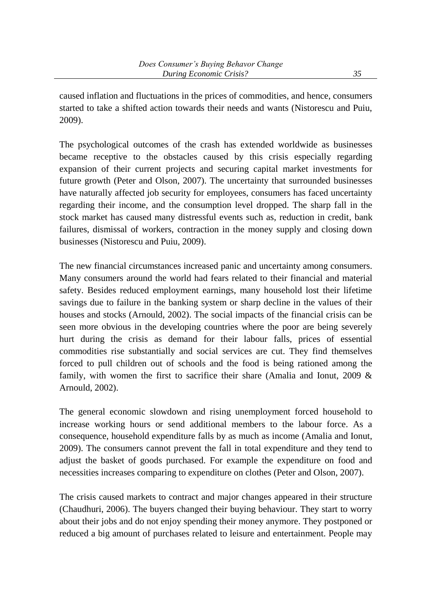caused inflation and fluctuations in the prices of commodities, and hence, consumers started to take a shifted action towards their needs and wants (Nistorescu and Puiu, 2009).

The psychological outcomes of the crash has extended worldwide as businesses became receptive to the obstacles caused by this crisis especially regarding expansion of their current projects and securing capital market investments for future growth (Peter and Olson, 2007). The uncertainty that surrounded businesses have naturally affected job security for employees, consumers has faced uncertainty regarding their income, and the consumption level dropped. The sharp fall in the stock market has caused many distressful events such as, reduction in credit, bank failures, dismissal of workers, contraction in the money supply and closing down businesses (Nistorescu and Puiu, 2009).

The new financial circumstances increased panic and uncertainty among consumers. Many consumers around the world had fears related to their financial and material safety. Besides reduced employment earnings, many household lost their lifetime savings due to failure in the banking system or sharp decline in the values of their houses and stocks (Arnould, 2002). The social impacts of the financial crisis can be seen more obvious in the developing countries where the poor are being severely hurt during the crisis as demand for their labour falls, prices of essential commodities rise substantially and social services are cut. They find themselves forced to pull children out of schools and the food is being rationed among the family, with women the first to sacrifice their share (Amalia and Ionut,  $2009 \&$ Arnould, 2002).

The general economic slowdown and rising unemployment forced household to increase working hours or send additional members to the labour force. As a consequence, household expenditure falls by as much as income (Amalia and Ionut, 2009). The consumers cannot prevent the fall in total expenditure and they tend to adjust the basket of goods purchased. For example the expenditure on food and necessities increases comparing to expenditure on clothes (Peter and Olson, 2007).

The crisis caused markets to contract and major changes appeared in their structure (Chaudhuri, 2006). The buyers changed their buying behaviour. They start to worry about their jobs and do not enjoy spending their money anymore. They postponed or reduced a big amount of purchases related to leisure and entertainment. People may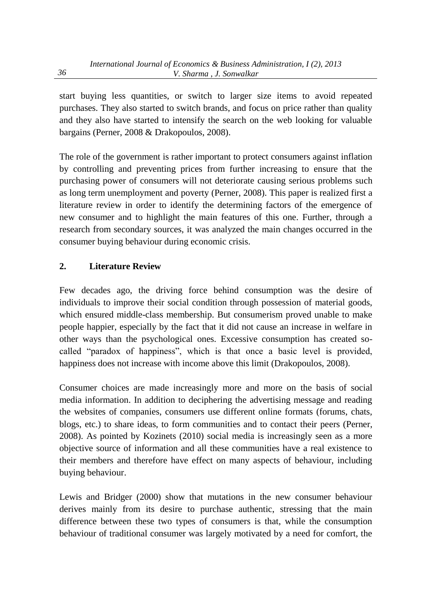start buying less quantities, or switch to larger size items to avoid repeated purchases. They also started to switch brands, and focus on price rather than quality and they also have started to intensify the search on the web looking for valuable bargains (Perner, 2008 & Drakopoulos, 2008).

The role of the government is rather important to protect consumers against inflation by controlling and preventing prices from further increasing to ensure that the purchasing power of consumers will not deteriorate causing serious problems such as long term unemployment and poverty (Perner, 2008). This paper is realized first a literature review in order to identify the determining factors of the emergence of new consumer and to highlight the main features of this one. Further, through a research from secondary sources, it was analyzed the main changes occurred in the consumer buying behaviour during economic crisis.

## **2. Literature Review**

Few decades ago, the driving force behind consumption was the desire of individuals to improve their social condition through possession of material goods, which ensured middle-class membership. But consumerism proved unable to make people happier, especially by the fact that it did not cause an increase in welfare in other ways than the psychological ones. Excessive consumption has created socalled "paradox of happiness", which is that once a basic level is provided, happiness does not increase with income above this limit (Drakopoulos, 2008).

Consumer choices are made increasingly more and more on the basis of social media information. In addition to deciphering the advertising message and reading the websites of companies, consumers use different online formats (forums, chats, blogs, etc.) to share ideas, to form communities and to contact their peers (Perner, 2008). As pointed by Kozinets (2010) social media is increasingly seen as a more objective source of information and all these communities have a real existence to their members and therefore have effect on many aspects of behaviour, including buying behaviour.

Lewis and Bridger (2000) show that mutations in the new consumer behaviour derives mainly from its desire to purchase authentic, stressing that the main difference between these two types of consumers is that, while the consumption behaviour of traditional consumer was largely motivated by a need for comfort, the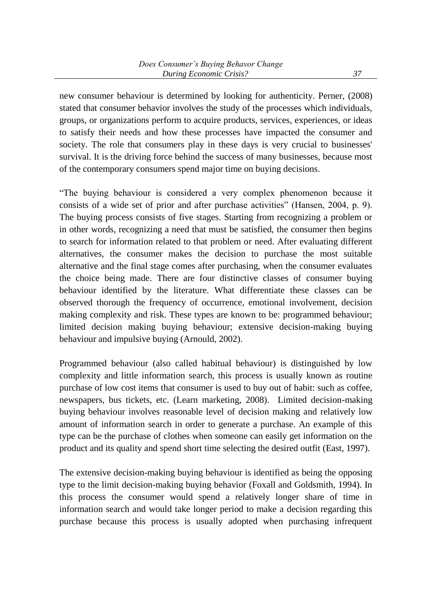new consumer behaviour is determined by looking for authenticity. Perner, (2008) stated that consumer behavior involves the study of the processes which individuals, groups, or organizations perform to acquire products, services, experiences, or ideas to satisfy their needs and how these processes have impacted the consumer and society. The role that consumers play in these days is very crucial to businesses' survival. It is the driving force behind the success of many businesses, because most of the contemporary consumers spend major time on buying decisions.

"The buying behaviour is considered a very complex phenomenon because it consists of a wide set of prior and after purchase activities" (Hansen, 2004, p. 9). The buying process consists of five stages. Starting from recognizing a problem or in other words, recognizing a need that must be satisfied, the consumer then begins to search for information related to that problem or need. After evaluating different alternatives, the consumer makes the decision to purchase the most suitable alternative and the final stage comes after purchasing, when the consumer evaluates the choice being made. There are four distinctive classes of consumer buying behaviour identified by the literature. What differentiate these classes can be observed thorough the frequency of occurrence, emotional involvement, decision making complexity and risk. These types are known to be: programmed behaviour; limited decision making buying behaviour; extensive decision-making buying behaviour and impulsive buying (Arnould, 2002).

Programmed behaviour (also called habitual behaviour) is distinguished by low complexity and little information search, this process is usually known as routine purchase of low cost items that consumer is used to buy out of habit: such as coffee, newspapers, bus tickets, etc. (Learn marketing, 2008). Limited decision-making buying behaviour involves reasonable level of decision making and relatively low amount of information search in order to generate a purchase. An example of this type can be the purchase of clothes when someone can easily get information on the product and its quality and spend short time selecting the desired outfit (East, 1997).

The extensive decision-making buying behaviour is identified as being the opposing type to the limit decision-making buying behavior (Foxall and Goldsmith, 1994). In this process the consumer would spend a relatively longer share of time in information search and would take longer period to make a decision regarding this purchase because this process is usually adopted when purchasing infrequent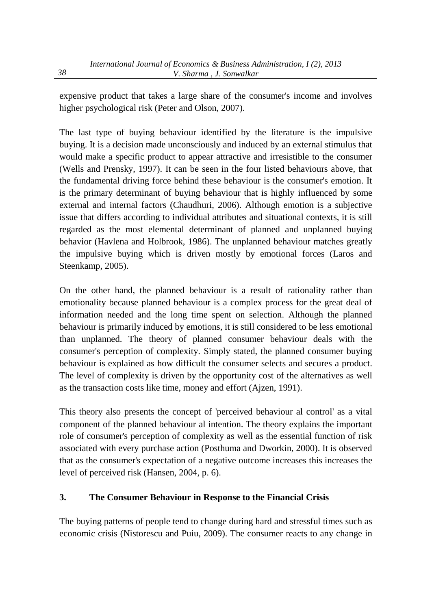expensive product that takes a large share of the consumer's income and involves higher psychological risk (Peter and Olson, 2007).

The last type of buying behaviour identified by the literature is the impulsive buying. It is a decision made unconsciously and induced by an external stimulus that would make a specific product to appear attractive and irresistible to the consumer (Wells and Prensky, 1997). It can be seen in the four listed behaviours above, that the fundamental driving force behind these behaviour is the consumer's emotion. It is the primary determinant of buying behaviour that is highly influenced by some external and internal factors (Chaudhuri, 2006). Although emotion is a subjective issue that differs according to individual attributes and situational contexts, it is still regarded as the most elemental determinant of planned and unplanned buying behavior (Havlena and Holbrook, 1986). The unplanned behaviour matches greatly the impulsive buying which is driven mostly by emotional forces (Laros and Steenkamp, 2005).

On the other hand, the planned behaviour is a result of rationality rather than emotionality because planned behaviour is a complex process for the great deal of information needed and the long time spent on selection. Although the planned behaviour is primarily induced by emotions, it is still considered to be less emotional than unplanned. The theory of planned consumer behaviour deals with the consumer's perception of complexity. Simply stated, the planned consumer buying behaviour is explained as how difficult the consumer selects and secures a product. The level of complexity is driven by the opportunity cost of the alternatives as well as the transaction costs like time, money and effort (Ajzen, 1991).

This theory also presents the concept of 'perceived behaviour al control' as a vital component of the planned behaviour al intention. The theory explains the important role of consumer's perception of complexity as well as the essential function of risk associated with every purchase action (Posthuma and Dworkin, 2000). It is observed that as the consumer's expectation of a negative outcome increases this increases the level of perceived risk (Hansen, 2004, p. 6).

#### **3. The Consumer Behaviour in Response to the Financial Crisis**

The buying patterns of people tend to change during hard and stressful times such as economic crisis (Nistorescu and Puiu, 2009). The consumer reacts to any change in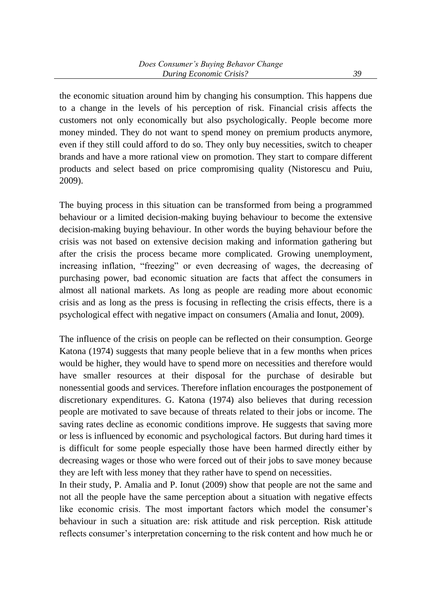the economic situation around him by changing his consumption. This happens due to a change in the levels of his perception of risk. Financial crisis affects the customers not only economically but also psychologically. People become more money minded. They do not want to spend money on premium products anymore, even if they still could afford to do so. They only buy necessities, switch to cheaper brands and have a more rational view on promotion. They start to compare different products and select based on price compromising quality (Nistorescu and Puiu, 2009).

The buying process in this situation can be transformed from being a programmed behaviour or a limited decision-making buying behaviour to become the extensive decision-making buying behaviour. In other words the buying behaviour before the crisis was not based on extensive decision making and information gathering but after the crisis the process became more complicated. Growing unemployment, increasing inflation, "freezing" or even decreasing of wages, the decreasing of purchasing power, bad economic situation are facts that affect the consumers in almost all national markets. As long as people are reading more about economic crisis and as long as the press is focusing in reflecting the crisis effects, there is a psychological effect with negative impact on consumers (Amalia and Ionut, 2009).

The influence of the crisis on people can be reflected on their consumption. George Katona (1974) suggests that many people believe that in a few months when prices would be higher, they would have to spend more on necessities and therefore would have smaller resources at their disposal for the purchase of desirable but nonessential goods and services. Therefore inflation encourages the postponement of discretionary expenditures. G. Katona (1974) also believes that during recession people are motivated to save because of threats related to their jobs or income. The saving rates decline as economic conditions improve. He suggests that saving more or less is influenced by economic and psychological factors. But during hard times it is difficult for some people especially those have been harmed directly either by decreasing wages or those who were forced out of their jobs to save money because they are left with less money that they rather have to spend on necessities.

In their study, P. Amalia and P. Ionut (2009) show that people are not the same and not all the people have the same perception about a situation with negative effects like economic crisis. The most important factors which model the consumer's behaviour in such a situation are: risk attitude and risk perception. Risk attitude reflects consumer's interpretation concerning to the risk content and how much he or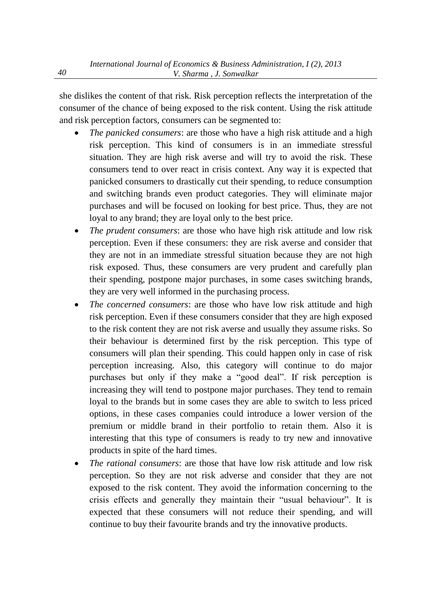she dislikes the content of that risk. Risk perception reflects the interpretation of the consumer of the chance of being exposed to the risk content. Using the risk attitude and risk perception factors, consumers can be segmented to:

- *The panicked consumers*: are those who have a high risk attitude and a high risk perception. This kind of consumers is in an immediate stressful situation. They are high risk averse and will try to avoid the risk. These consumers tend to over react in crisis context. Any way it is expected that panicked consumers to drastically cut their spending, to reduce consumption and switching brands even product categories. They will eliminate major purchases and will be focused on looking for best price. Thus, they are not loyal to any brand; they are loyal only to the best price.
- *The prudent consumers*: are those who have high risk attitude and low risk perception. Even if these consumers: they are risk averse and consider that they are not in an immediate stressful situation because they are not high risk exposed. Thus, these consumers are very prudent and carefully plan their spending, postpone major purchases, in some cases switching brands, they are very well informed in the purchasing process.
- *The concerned consumers*: are those who have low risk attitude and high risk perception. Even if these consumers consider that they are high exposed to the risk content they are not risk averse and usually they assume risks. So their behaviour is determined first by the risk perception. This type of consumers will plan their spending. This could happen only in case of risk perception increasing. Also, this category will continue to do major purchases but only if they make a "good deal". If risk perception is increasing they will tend to postpone major purchases. They tend to remain loyal to the brands but in some cases they are able to switch to less priced options, in these cases companies could introduce a lower version of the premium or middle brand in their portfolio to retain them. Also it is interesting that this type of consumers is ready to try new and innovative products in spite of the hard times.
- *The rational consumers*: are those that have low risk attitude and low risk perception. So they are not risk adverse and consider that they are not exposed to the risk content. They avoid the information concerning to the crisis effects and generally they maintain their "usual behaviour". It is expected that these consumers will not reduce their spending, and will continue to buy their favourite brands and try the innovative products.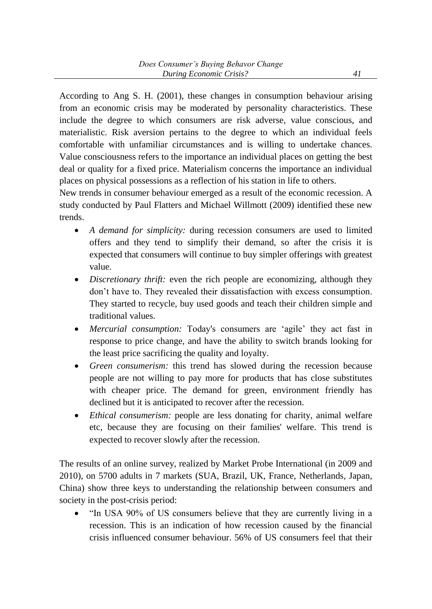According to Ang S. H. (2001), these changes in consumption behaviour arising from an economic crisis may be moderated by personality characteristics. These include the degree to which consumers are risk adverse, value conscious, and materialistic. Risk aversion pertains to the degree to which an individual feels comfortable with unfamiliar circumstances and is willing to undertake chances. Value consciousness refers to the importance an individual places on getting the best deal or quality for a fixed price. Materialism concerns the importance an individual places on physical possessions as a reflection of his station in life to others.

New trends in consumer behaviour emerged as a result of the economic recession. A study conducted by Paul Flatters and Michael Willmott (2009) identified these new trends.

- *A demand for simplicity:* during recession consumers are used to limited offers and they tend to simplify their demand, so after the crisis it is expected that consumers will continue to buy simpler offerings with greatest value.
- *Discretionary thrift:* even the rich people are economizing, although they don't have to. They revealed their dissatisfaction with excess consumption. They started to recycle, buy used goods and teach their children simple and traditional values.
- *Mercurial consumption:* Today's consumers are 'agile' they act fast in response to price change, and have the ability to switch brands looking for the least price sacrificing the quality and loyalty.
- *Green consumerism:* this trend has slowed during the recession because people are not willing to pay more for products that has close substitutes with cheaper price. The demand for green, environment friendly has declined but it is anticipated to recover after the recession.
- *Ethical consumerism:* people are less donating for charity, animal welfare etc, because they are focusing on their families' welfare. This trend is expected to recover slowly after the recession.

The results of an online survey, realized by Market Probe International (in 2009 and 2010), on 5700 adults in 7 markets (SUA, Brazil, UK, France, Netherlands, Japan, China) show three keys to understanding the relationship between consumers and society in the post-crisis period:

 "In USA 90% of US consumers believe that they are currently living in a recession. This is an indication of how recession caused by the financial crisis influenced consumer behaviour. 56% of US consumers feel that their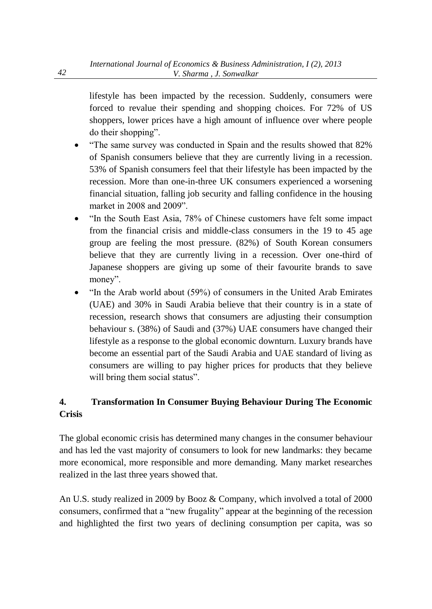lifestyle has been impacted by the recession. Suddenly, consumers were forced to revalue their spending and shopping choices. For 72% of US shoppers, lower prices have a high amount of influence over where people do their shopping".

- "The same survey was conducted in Spain and the results showed that 82% of Spanish consumers believe that they are currently living in a recession. 53% of Spanish consumers feel that their lifestyle has been impacted by the recession. More than one-in-three UK consumers experienced a worsening financial situation, falling job security and falling confidence in the housing market in 2008 and 2009".
- "In the South East Asia, 78% of Chinese customers have felt some impact from the financial crisis and middle-class consumers in the 19 to 45 age group are feeling the most pressure. (82%) of South Korean consumers believe that they are currently living in a recession. Over one-third of Japanese shoppers are giving up some of their favourite brands to save money".
- "In the Arab world about (59%) of consumers in the United Arab Emirates (UAE) and 30% in Saudi Arabia believe that their country is in a state of recession, research shows that consumers are adjusting their consumption behaviour s. (38%) of Saudi and (37%) UAE consumers have changed their lifestyle as a response to the global economic downturn. Luxury brands have become an essential part of the Saudi Arabia and UAE standard of living as consumers are willing to pay higher prices for products that they believe will bring them social status".

# **4. Transformation In Consumer Buying Behaviour During The Economic Crisis**

The global economic crisis has determined many changes in the consumer behaviour and has led the vast majority of consumers to look for new landmarks: they became more economical, more responsible and more demanding. Many market researches realized in the last three years showed that.

An U.S. study realized in 2009 by Booz & Company, which involved a total of 2000 consumers, confirmed that a "new frugality" appear at the beginning of the recession and highlighted the first two years of declining consumption per capita, was so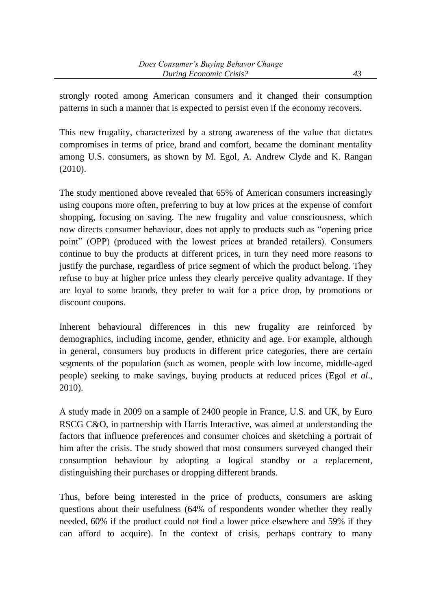strongly rooted among American consumers and it changed their consumption patterns in such a manner that is expected to persist even if the economy recovers.

This new frugality, characterized by a strong awareness of the value that dictates compromises in terms of price, brand and comfort, became the dominant mentality among U.S. consumers, as shown by M. Egol, A. Andrew Clyde and K. Rangan (2010).

The study mentioned above revealed that 65% of American consumers increasingly using coupons more often, preferring to buy at low prices at the expense of comfort shopping, focusing on saving. The new frugality and value consciousness, which now directs consumer behaviour, does not apply to products such as "opening price point" (OPP) (produced with the lowest prices at branded retailers). Consumers continue to buy the products at different prices, in turn they need more reasons to justify the purchase, regardless of price segment of which the product belong. They refuse to buy at higher price unless they clearly perceive quality advantage. If they are loyal to some brands, they prefer to wait for a price drop, by promotions or discount coupons.

Inherent behavioural differences in this new frugality are reinforced by demographics, including income, gender, ethnicity and age. For example, although in general, consumers buy products in different price categories, there are certain segments of the population (such as women, people with low income, middle-aged people) seeking to make savings, buying products at reduced prices (Egol *et al*., 2010).

A study made in 2009 on a sample of 2400 people in France, U.S. and UK, by Euro RSCG C&O, in partnership with Harris Interactive, was aimed at understanding the factors that influence preferences and consumer choices and sketching a portrait of him after the crisis. The study showed that most consumers surveyed changed their consumption behaviour by adopting a logical standby or a replacement, distinguishing their purchases or dropping different brands.

Thus, before being interested in the price of products, consumers are asking questions about their usefulness (64% of respondents wonder whether they really needed, 60% if the product could not find a lower price elsewhere and 59% if they can afford to acquire). In the context of crisis, perhaps contrary to many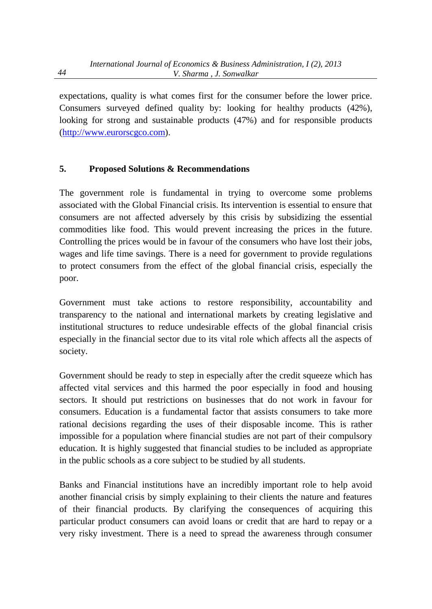expectations, quality is what comes first for the consumer before the lower price. Consumers surveyed defined quality by: looking for healthy products (42%), looking for strong and sustainable products (47%) and for responsible products [\(http://www.eurorscgco.com\)](http://www.eurorscgco.com/).

### **5. Proposed Solutions & Recommendations**

The government role is fundamental in trying to overcome some problems associated with the Global Financial crisis. Its intervention is essential to ensure that consumers are not affected adversely by this crisis by subsidizing the essential commodities like food. This would prevent increasing the prices in the future. Controlling the prices would be in favour of the consumers who have lost their jobs, wages and life time savings. There is a need for government to provide regulations to protect consumers from the effect of the global financial crisis, especially the poor.

Government must take actions to restore responsibility, accountability and transparency to the national and international markets by creating legislative and institutional structures to reduce undesirable effects of the global financial crisis especially in the financial sector due to its vital role which affects all the aspects of society.

Government should be ready to step in especially after the credit squeeze which has affected vital services and this harmed the poor especially in food and housing sectors. It should put restrictions on businesses that do not work in favour for consumers. Education is a fundamental factor that assists consumers to take more rational decisions regarding the uses of their disposable income. This is rather impossible for a population where financial studies are not part of their compulsory education. It is highly suggested that financial studies to be included as appropriate in the public schools as a core subject to be studied by all students.

Banks and Financial institutions have an incredibly important role to help avoid another financial crisis by simply explaining to their clients the nature and features of their financial products. By clarifying the consequences of acquiring this particular product consumers can avoid loans or credit that are hard to repay or a very risky investment. There is a need to spread the awareness through consumer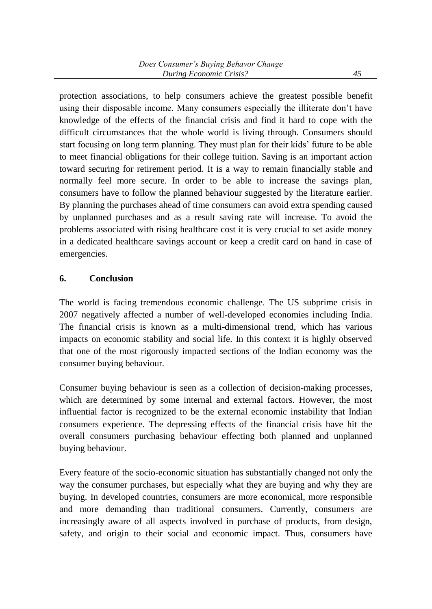protection associations, to help consumers achieve the greatest possible benefit using their disposable income. Many consumers especially the illiterate don't have knowledge of the effects of the financial crisis and find it hard to cope with the difficult circumstances that the whole world is living through. Consumers should start focusing on long term planning. They must plan for their kids' future to be able to meet financial obligations for their college tuition. Saving is an important action toward securing for retirement period. It is a way to remain financially stable and normally feel more secure. In order to be able to increase the savings plan, consumers have to follow the planned behaviour suggested by the literature earlier. By planning the purchases ahead of time consumers can avoid extra spending caused by unplanned purchases and as a result saving rate will increase. To avoid the problems associated with rising healthcare cost it is very crucial to set aside money in a dedicated healthcare savings account or keep a credit card on hand in case of emergencies.

#### **6. Conclusion**

The world is facing tremendous economic challenge. The US subprime crisis in 2007 negatively affected a number of well-developed economies including India. The financial crisis is known as a multi-dimensional trend, which has various impacts on economic stability and social life. In this context it is highly observed that one of the most rigorously impacted sections of the Indian economy was the consumer buying behaviour.

Consumer buying behaviour is seen as a collection of decision-making processes, which are determined by some internal and external factors. However, the most influential factor is recognized to be the external economic instability that Indian consumers experience. The depressing effects of the financial crisis have hit the overall consumers purchasing behaviour effecting both planned and unplanned buying behaviour.

Every feature of the socio-economic situation has substantially changed not only the way the consumer purchases, but especially what they are buying and why they are buying. In developed countries, consumers are more economical, more responsible and more demanding than traditional consumers. Currently, consumers are increasingly aware of all aspects involved in purchase of products, from design, safety, and origin to their social and economic impact. Thus, consumers have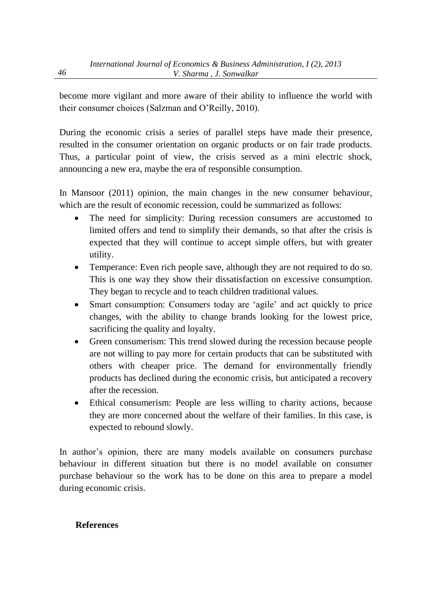become more vigilant and more aware of their ability to influence the world with their consumer choices (Salzman and O'Reilly, 2010).

During the economic crisis a series of parallel steps have made their presence, resulted in the consumer orientation on organic products or on fair trade products. Thus, a particular point of view, the crisis served as a mini electric shock, announcing a new era, maybe the era of responsible consumption.

In Mansoor (2011) opinion, the main changes in the new consumer behaviour, which are the result of economic recession, could be summarized as follows:

- The need for simplicity: During recession consumers are accustomed to limited offers and tend to simplify their demands, so that after the crisis is expected that they will continue to accept simple offers, but with greater utility.
- Temperance: Even rich people save, although they are not required to do so. This is one way they show their dissatisfaction on excessive consumption. They began to recycle and to teach children traditional values.
- Smart consumption: Consumers today are 'agile' and act quickly to price changes, with the ability to change brands looking for the lowest price, sacrificing the quality and loyalty.
- Green consumerism: This trend slowed during the recession because people are not willing to pay more for certain products that can be substituted with others with cheaper price. The demand for environmentally friendly products has declined during the economic crisis, but anticipated a recovery after the recession.
- Ethical consumerism: People are less willing to charity actions, because they are more concerned about the welfare of their families. In this case, is expected to rebound slowly.

In author's opinion, there are many models available on consumers purchase behaviour in different situation but there is no model available on consumer purchase behaviour so the work has to be done on this area to prepare a model during economic crisis.

#### **References**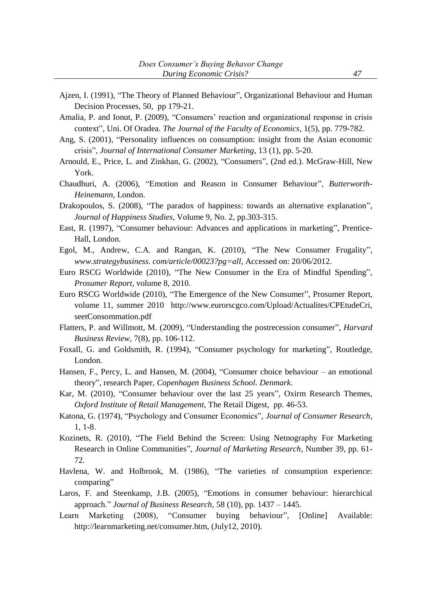- Ajzen, I. (1991), "The Theory of Planned Behaviour", Organizational Behaviour and Human Decision Processes, 50, pp 179-21.
- Amalia, P. and Ionut, P. (2009), "Consumers' reaction and organizational response in crisis context", Uni. Of Oradea. *The Journal of the Faculty of Economics*, 1(5), pp. 779-782.
- Ang, S. (2001), "Personality influences on consumption: insight from the Asian economic crisis", *Journal of International Consumer Marketing*, 13 (1), pp. 5-20.
- Arnould, E., Price, L. and Zinkhan, G. (2002), "Consumers", (2nd ed.). McGraw-Hill, New York.
- Chaudhuri, A. (2006), "Emotion and Reason in Consumer Behaviour", *Butterworth-Heinemann*, London.
- Drakopoulos, S. (2008), "The paradox of happiness: towards an alternative explanation", *Journal of Happiness Studies*, Volume 9, No. 2, pp.303-315.
- East, R. (1997), "Consumer behaviour: Advances and applications in marketing", Prentice-Hall, London.
- Egol, M., Andrew, C.A. and Rangan, K. (2010), "The New Consumer Frugality", *www.strategybusiness. com/article/00023?pg=all*, Accessed on: 20/06/2012.
- Euro RSCG Worldwide (2010), "The New Consumer in the Era of Mindful Spending", *Prosumer Report*, volume 8, 2010.
- Euro RSCG Worldwide (2010), "The Emergence of the New Consumer", Prosumer Report, volume 11, summer 2010 http://www.eurorscgco.com/Upload/Actualites/CPEtudeCri, seetConsommation.pdf
- Flatters, P. and Willmott, M. (2009), "Understanding the postrecession consumer", *Harvard Business Review*, 7(8), pp. 106-112.
- Foxall, G. and Goldsmith, R. (1994), "Consumer psychology for marketing", Routledge, London.
- Hansen, F., Percy, L. and Hansen, M. (2004), "Consumer choice behaviour an emotional theory", research Paper, *Copenhagen Business School. Denmark*.
- Kar, M. (2010), "Consumer behaviour over the last 25 years", Oxirm Research Themes, *Oxford Institute of Retail Management,* The Retail Digest, pp. 46-53.
- Katona, G. (1974), "Psychology and Consumer Economics", *Journal of Consumer Research*, 1, 1-8.
- Kozinets, R. (2010), "The Field Behind the Screen: Using Netnography For Marketing Research in Online Communities", *Journal of Marketing Research*, Number 39, pp. 61- 72.
- Havlena, W. and Holbrook, M. (1986), "The varieties of consumption experience: comparing"
- Laros, F. and Steenkamp, J.B. (2005), "Emotions in consumer behaviour: hierarchical approach." *Journal of Business Research*, 58 (10), pp. 1437 – 1445.
- Learn Marketing (2008), "Consumer buying behaviour", [Online] Available: http://learnmarketing.net/consumer.htm, (July12, 2010).